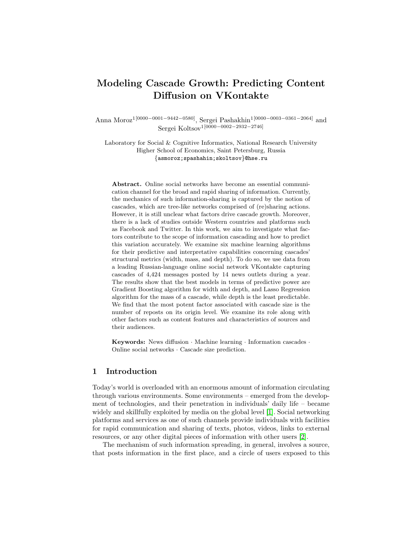# Modeling Cascade Growth: Predicting Content Diffusion on VKontakte

Anna Moroz1[0000−0001−9442−0580], Sergei Pashakhin1[0000−0003−0361−2064] and Sergei Koltsov1[0000−0002−2932−2746]

Laboratory for Social & Cognitive Informatics, National Research University Higher School of Economics, Saint Petersburg, Russia {asmoroz;spashahin;skoltsov}@hse.ru

Abstract. Online social networks have become an essential communication channel for the broad and rapid sharing of information. Currently, the mechanics of such information-sharing is captured by the notion of cascades, which are tree-like networks comprised of (re)sharing actions. However, it is still unclear what factors drive cascade growth. Moreover, there is a lack of studies outside Western countries and platforms such as Facebook and Twitter. In this work, we aim to investigate what factors contribute to the scope of information cascading and how to predict this variation accurately. We examine six machine learning algorithms for their predictive and interpretative capabilities concerning cascades' structural metrics (width, mass, and depth). To do so, we use data from a leading Russian-language online social network VKontakte capturing cascades of 4,424 messages posted by 14 news outlets during a year. The results show that the best models in terms of predictive power are Gradient Boosting algorithm for width and depth, and Lasso Regression algorithm for the mass of a cascade, while depth is the least predictable. We find that the most potent factor associated with cascade size is the number of reposts on its origin level. We examine its role along with other factors such as content features and characteristics of sources and their audiences.

Keywords: News diffusion · Machine learning · Information cascades · Online social networks · Cascade size prediction.

# 1 Introduction

Today's world is overloaded with an enormous amount of information circulating through various environments. Some environments – emerged from the development of technologies, and their penetration in individuals' daily life – became widely and skillfully exploited by media on the global level [\[1\]](#page-12-0). Social networking platforms and services as one of such channels provide individuals with facilities for rapid communication and sharing of texts, photos, videos, links to external resources, or any other digital pieces of information with other users [\[2\]](#page-12-1).

The mechanism of such information spreading, in general, involves a source, that posts information in the first place, and a circle of users exposed to this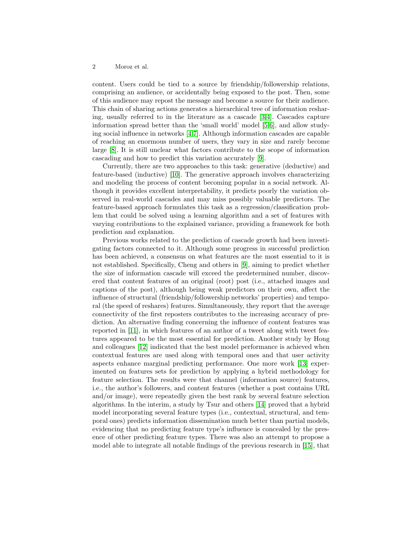content. Users could be tied to a source by friendship/followership relations, comprising an audience, or accidentally being exposed to the post. Then, some of this audience may repost the message and become a source for their audience. This chain of sharing actions generates a hierarchical tree of information resharing, usually referred to in the literature as a cascade [\[3,](#page-13-0)[4\]](#page-13-1). Cascades capture information spread better than the 'small world' model [\[5,](#page-13-2)[6\]](#page-13-3), and allow studying social influence in networks [\[4,](#page-13-1)[7\]](#page-13-4). Although information cascades are capable of reaching an enormous number of users, they vary in size and rarely become large [\[8\]](#page-13-5). It is still unclear what factors contribute to the scope of information cascading and how to predict this variation accurately [\[9\]](#page-13-6).

Currently, there are two approaches to this task: generative (deductive) and feature-based (inductive) [\[10\]](#page-13-7). The generative approach involves characterizing and modeling the process of content becoming popular in a social network. Although it provides excellent interpretability, it predicts poorly the variation observed in real-world cascades and may miss possibly valuable predictors. The feature-based approach formulates this task as a regression/classification problem that could be solved using a learning algorithm and a set of features with varying contributions to the explained variance, providing a framework for both prediction and explanation.

Previous works related to the prediction of cascade growth had been investigating factors connected to it. Although some progress in successful prediction has been achieved, a consensus on what features are the most essential to it is not established. Specifically, Cheng and others in [\[9\]](#page-13-6), aiming to predict whether the size of information cascade will exceed the predetermined number, discovered that content features of an original (root) post (i.e., attached images and captions of the post), although being weak predictors on their own, affect the influence of structural (friendship/followership networks' properties) and temporal (the speed of reshares) features. Simultaneously, they report that the average connectivity of the first reposters contributes to the increasing accuracy of prediction. An alternative finding concerning the influence of content features was reported in [\[11\]](#page-13-8), in which features of an author of a tweet along with tweet features appeared to be the most essential for prediction. Another study by Hong and colleagues [\[12\]](#page-13-9) indicated that the best model performance is achieved when contextual features are used along with temporal ones and that user activity aspects enhance marginal predicting performance. One more work [\[13\]](#page-13-10) experimented on features sets for prediction by applying a hybrid methodology for feature selection. The results were that channel (information source) features, i.e., the author's followers, and content features (whether a post contains URL and/or image), were repeatedly given the best rank by several feature selection algorithms. In the interim, a study by Tsur and others [\[14\]](#page-13-11) proved that a hybrid model incorporating several feature types (i.e., contextual, structural, and temporal ones) predicts information dissemination much better than partial models, evidencing that no predicting feature type's influence is concealed by the presence of other predicting feature types. There was also an attempt to propose a model able to integrate all notable findings of the previous research in [\[15\]](#page-13-12), that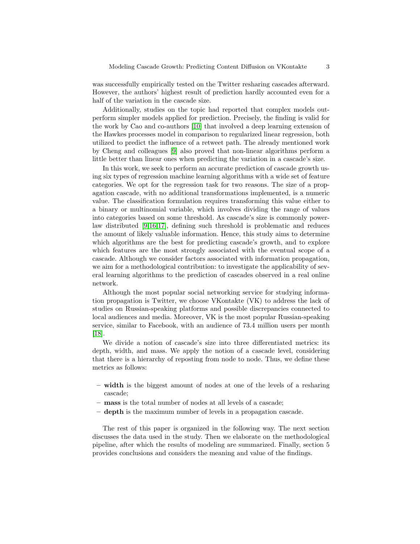was successfully empirically tested on the Twitter resharing cascades afterward. However, the authors' highest result of prediction hardly accounted even for a half of the variation in the cascade size.

Additionally, studies on the topic had reported that complex models outperform simpler models applied for prediction. Precisely, the finding is valid for the work by Cao and co-authors [\[10\]](#page-13-7) that involved a deep learning extension of the Hawkes processes model in comparison to regularized linear regression, both utilized to predict the influence of a retweet path. The already mentioned work by Cheng and colleagues [\[9\]](#page-13-6) also proved that non-linear algorithms perform a little better than linear ones when predicting the variation in a cascade's size.

In this work, we seek to perform an accurate prediction of cascade growth using six types of regression machine learning algorithms with a wide set of feature categories. We opt for the regression task for two reasons. The size of a propagation cascade, with no additional transformations implemented, is a numeric value. The classification formulation requires transforming this value either to a binary or multinomial variable, which involves dividing the range of values into categories based on some threshold. As cascade's size is commonly powerlaw distributed [\[9](#page-13-6)[,16](#page-13-13)[,17\]](#page-13-14), defining such threshold is problematic and reduces the amount of likely valuable information. Hence, this study aims to determine which algorithms are the best for predicting cascade's growth, and to explore which features are the most strongly associated with the eventual scope of a cascade. Although we consider factors associated with information propagation, we aim for a methodological contribution: to investigate the applicability of several learning algorithms to the prediction of cascades observed in a real online network.

Although the most popular social networking service for studying information propagation is Twitter, we choose VKontakte (VK) to address the lack of studies on Russian-speaking platforms and possible discrepancies connected to local audiences and media. Moreover, VK is the most popular Russian-speaking service, similar to Facebook, with an audience of 73.4 million users per month [\[18\]](#page-13-15).

We divide a notion of cascade's size into three differentiated metrics: its depth, width, and mass. We apply the notion of a cascade level, considering that there is a hierarchy of reposting from node to node. Thus, we define these metrics as follows:

- width is the biggest amount of nodes at one of the levels of a resharing cascade;
- mass is the total number of nodes at all levels of a cascade;
- depth is the maximum number of levels in a propagation cascade.

The rest of this paper is organized in the following way. The next section discusses the data used in the study. Then we elaborate on the methodological pipeline, after which the results of modeling are summarized. Finally, section 5 provides conclusions and considers the meaning and value of the findings.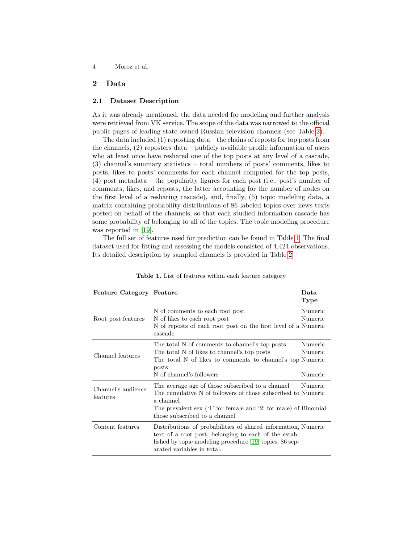# 2 Data

### 2.1 Dataset Description

As it was already mentioned, the data needed for modeling and further analysis were retrieved from VK service. The scope of the data was narrowed to the official public pages of leading state-owned Russian television channels (see Table [2\)](#page-4-0).

The data included (1) reposting data – the chains of reposts for top posts from the channels, (2) reposters data – publicly available profile information of users who at least once have reshared one of the top posts at any level of a cascade, (3) channel's summary statistics – total numbers of posts' comments, likes to posts, likes to posts' comments for each channel computed for the top posts, (4) post metadata – the popularity figures for each post (i.e., post's number of comments, likes, and reposts, the latter accounting for the number of nodes on the first level of a resharing cascade), and, finally, (5) topic modeling data, a matrix containing probability distributions of 86 labeled topics over news texts posted on behalf of the channels, so that each studied information cascade has some probability of belonging to all of the topics. The topic modeling procedure was reported in [\[19\]](#page-13-16).

The full set of features used for prediction can be found in Table [1.](#page-3-0) The final dataset used for fitting and assessing the models consisted of 4,424 observations. Its detailed description by sampled channels is provided in Table [2.](#page-4-0)

| <b>Feature Category Feature</b> |                                                                                                                                                                                                                                    | Data<br>Type                  |
|---------------------------------|------------------------------------------------------------------------------------------------------------------------------------------------------------------------------------------------------------------------------------|-------------------------------|
| Root post features              | N of comments to each root post<br>N of likes to each root post<br>N of reposts of each root post on the first level of a Numeric<br>cascade                                                                                       | Numeric<br>Numeric            |
| Channel features                | The total N of comments to channel's top posts<br>The total N of likes to channel's top posts<br>The total N of likes to comments to channel's top Numeric<br>posts<br>N of channel's followers                                    | Numeric<br>Numeric<br>Numeric |
| Channel's audience<br>features  | The average age of those subscribed to a channel<br>The cumulative N of followers of those subscribed to Numeric<br>a channel<br>The prevalent sex $(1)$ for female and $2$ for male) of Binomial<br>those subscribed to a channel | Numeric                       |
| Content features                | Distributions of probabilities of shared information, Numeric<br>text of a root post, belonging to each of the estab-<br>lished by topic modeling procedure [19] topics. 86 sep-<br>arated variables in total.                     |                               |

<span id="page-3-0"></span>Table 1. List of features within each feature category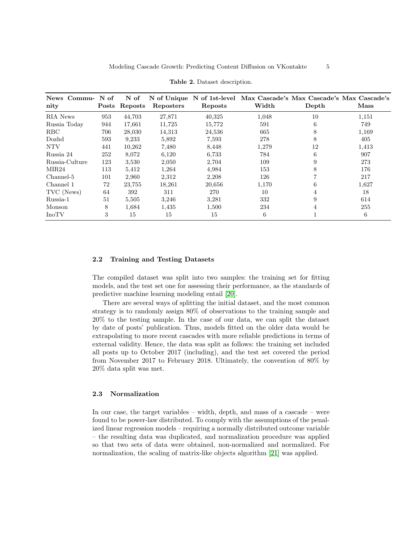| News Commu- N of<br>nity |     | N of<br>Posts Reposts | Reposters | Reposts | N of Unique N of 1st-level Max Cascade's Max Cascade's Max Cascade's<br>Width | Depth | Mass  |
|--------------------------|-----|-----------------------|-----------|---------|-------------------------------------------------------------------------------|-------|-------|
| <b>RIA</b> News          | 953 | 44,703                | 27,871    | 40,325  | 1,048                                                                         | 10    | 1,151 |
|                          |     |                       |           |         |                                                                               |       |       |
| Russia Today             | 944 | 17,661                | 11,725    | 15,772  | 591                                                                           | 6     | 749   |
| <b>RBC</b>               | 706 | 28,030                | 14,313    | 24,536  | 665                                                                           | 8     | 1,169 |
| Dozhd                    | 593 | 9,233                 | 5,892     | 7.593   | 278                                                                           | 8     | 405   |
| <b>NTV</b>               | 441 | 10,262                | 7.480     | 8,448   | 1,279                                                                         | 12    | 1,413 |
| Russia 24                | 252 | 8,072                 | 6,120     | 6.733   | 784                                                                           | 6     | 907   |
| Russia-Culture           | 123 | 3,530                 | 2,050     | 2,704   | 109                                                                           | 9     | 273   |
| MIR <sub>24</sub>        | 113 | 5,412                 | 1,264     | 4,984   | 153                                                                           | 8     | 176   |
| Channel-5                | 101 | 2,960                 | 2,312     | 2,208   | 126                                                                           |       | 217   |
| Channel 1                | 72  | 23,755                | 18,261    | 20,656  | 1,170                                                                         | 6     | 1,627 |
| TVC (News)               | 64  | 392                   | 311       | 270     | 10                                                                            | 4     | 18    |
| Russia-1                 | 51  | 5,505                 | 3,246     | 3,281   | 332                                                                           | 9     | 614   |
| Monson                   | 8   | 1,684                 | 1.435     | 1,500   | 234                                                                           | 4     | 255   |
| <b>InoTV</b>             | 3   | 15                    | 15        | 15      | 6                                                                             |       | 6     |

<span id="page-4-0"></span>Table 2. Dataset description.

#### 2.2 Training and Testing Datasets

The compiled dataset was split into two samples: the training set for fitting models, and the test set one for assessing their performance, as the standards of predictive machine learning modeling entail [\[20\]](#page-14-0).

There are several ways of splitting the initial dataset, and the most common strategy is to randomly assign 80% of observations to the training sample and 20% to the testing sample. In the case of our data, we can split the dataset by date of posts' publication. Thus, models fitted on the older data would be extrapolating to more recent cascades with more reliable predictions in terms of external validity. Hence, the data was split as follows: the training set included all posts up to October 2017 (including), and the test set covered the period from November 2017 to February 2018. Ultimately, the convention of 80% by 20% data split was met.

### 2.3 Normalization

In our case, the target variables – width, depth, and mass of a cascade – were found to be power-law distributed. To comply with the assumptions of the penalized linear regression models – requiring a normally distributed outcome variable – the resulting data was duplicated, and normalization procedure was applied so that two sets of data were obtained, non-normalized and normalized. For normalization, the scaling of matrix-like objects algorithm [\[21\]](#page-14-1) was applied.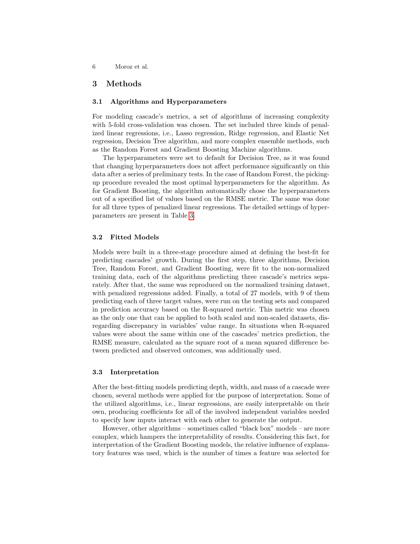# 3 Methods

#### 3.1 Algorithms and Hyperparameters

For modeling cascade's metrics, a set of algorithms of increasing complexity with 5-fold cross-validation was chosen. The set included three kinds of penalized linear regressions, i.e., Lasso regression, Ridge regression, and Elastic Net regression, Decision Tree algorithm, and more complex ensemble methods, such as the Random Forest and Gradient Boosting Machine algorithms.

The hyperparameters were set to default for Decision Tree, as it was found that changing hyperparameters does not affect performance significantly on this data after a series of preliminary tests. In the case of Random Forest, the pickingup procedure revealed the most optimal hyperparameters for the algorithm. As for Gradient Boosting, the algorithm automatically chose the hyperparameters out of a specified list of values based on the RMSE metric. The same was done for all three types of penalized linear regressions. The detailed settings of hyperparameters are present in Table [3.](#page-6-0)

#### 3.2 Fitted Models

Models were built in a three-stage procedure aimed at defining the best-fit for predicting cascades' growth. During the first step, three algorithms, Decision Tree, Random Forest, and Gradient Boosting, were fit to the non-normalized training data, each of the algorithms predicting three cascade's metrics separately. After that, the same was reproduced on the normalized training dataset, with penalized regressions added. Finally, a total of 27 models, with 9 of them predicting each of three target values, were run on the testing sets and compared in prediction accuracy based on the R-squared metric. This metric was chosen as the only one that can be applied to both scaled and non-scaled datasets, disregarding discrepancy in variables' value range. In situations when R-squared values were about the same within one of the cascades' metrics prediction, the RMSE measure, calculated as the square root of a mean squared difference between predicted and observed outcomes, was additionally used.

# 3.3 Interpretation

After the best-fitting models predicting depth, width, and mass of a cascade were chosen, several methods were applied for the purpose of interpretation. Some of the utilized algorithms, i.e., linear regressions, are easily interpretable on their own, producing coefficients for all of the involved independent variables needed to specify how inputs interact with each other to generate the output.

However, other algorithms – sometimes called "black box" models – are more complex, which hampers the interpretability of results. Considering this fact, for interpretation of the Gradient Boosting models, the relative influence of explanatory features was used, which is the number of times a feature was selected for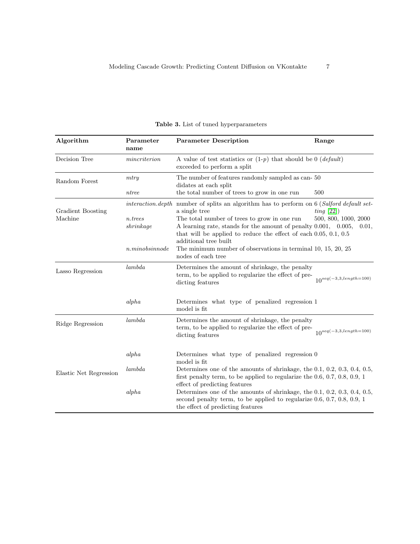| Algorithm              | Parameter<br>name       | <b>Parameter Description</b>                                                                                                                                                                                   | Range                         |
|------------------------|-------------------------|----------------------------------------------------------------------------------------------------------------------------------------------------------------------------------------------------------------|-------------------------------|
| Decision Tree          | min criterion           | A value of test statistics or $(1-p)$ that should be 0 ( <i>default</i> )<br>exceeded to perform a split                                                                                                       |                               |
| Random Forest          | mtry                    | The number of features randomly sampled as can-50<br>didates at each split                                                                                                                                     |                               |
|                        | ntree                   | the total number of trees to grow in one run                                                                                                                                                                   | 500                           |
| Gradient Boosting      |                         | interaction.depth number of splits an algorithm has to perform on 6 (Salford default set-<br>a single tree                                                                                                     | $ting$ [22])                  |
| Machine                | $n.$ trees<br>shrinkage | The total number of trees to grow in one run<br>A learning rate, stands for the amount of penalty 0.001, 0.005,<br>that will be applied to reduce the effect of each $0.05, 0.1, 0.5$<br>additional tree built | 500, 800, 1000, 2000<br>0.01, |
|                        | n. minobsin node        | The minimum number of observations in terminal 10, 15, 20, 25<br>nodes of each tree                                                                                                                            |                               |
| Lasso Regression       | lambda                  | Determines the amount of shrinkage, the penalty<br>term, to be applied to regularize the effect of pre-<br>dicting features                                                                                    | $10^{seq(-3,3, length=100)}$  |
|                        | alpha                   | Determines what type of penalized regression 1<br>model is fit                                                                                                                                                 |                               |
| Ridge Regression       | lambda                  | Determines the amount of shrinkage, the penalty<br>term, to be applied to regularize the effect of pre-<br>dicting features                                                                                    | $10^{seq(-3,3, length=100)}$  |
| Elastic Net Regression | alpha                   | Determines what type of penalized regression 0<br>model is fit                                                                                                                                                 |                               |
|                        | lambda                  | Determines one of the amounts of shrinkage, the $0.1, 0.2, 0.3, 0.4, 0.5$ ,<br>first penalty term, to be applied to regularize the $0.6, 0.7, 0.8, 0.9, 1$<br>effect of predicting features                    |                               |
|                        | alpha                   | Determines one of the amounts of shrinkage, the $0.1, 0.2, 0.3, 0.4, 0.5$ ,<br>second penalty term, to be applied to regularize $0.6, 0.7, 0.8, 0.9, 1$<br>the effect of predicting features                   |                               |

<span id="page-6-0"></span>

| Table 3. List of tuned hyperparameters |  |  |  |  |  |  |  |
|----------------------------------------|--|--|--|--|--|--|--|
|----------------------------------------|--|--|--|--|--|--|--|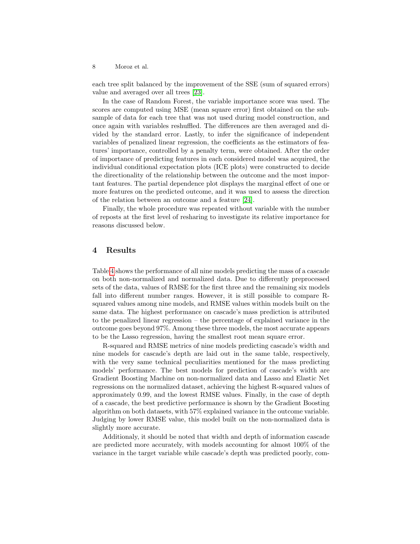each tree split balanced by the improvement of the SSE (sum of squared errors) value and averaged over all trees [\[23\]](#page-14-3).

In the case of Random Forest, the variable importance score was used. The scores are computed using MSE (mean square error) first obtained on the subsample of data for each tree that was not used during model construction, and once again with variables reshuffled. The differences are then averaged and divided by the standard error. Lastly, to infer the significance of independent variables of penalized linear regression, the coefficients as the estimators of features' importance, controlled by a penalty term, were obtained. After the order of importance of predicting features in each considered model was acquired, the individual conditional expectation plots (ICE plots) were constructed to decide the directionality of the relationship between the outcome and the most important features. The partial dependence plot displays the marginal effect of one or more features on the predicted outcome, and it was used to assess the direction of the relation between an outcome and a feature [\[24\]](#page-14-4).

Finally, the whole procedure was repeated without variable with the number of reposts at the first level of resharing to investigate its relative importance for reasons discussed below.

# 4 Results

Table [4](#page-8-0) shows the performance of all nine models predicting the mass of a cascade on both non-normalized and normalized data. Due to differently preprocessed sets of the data, values of RMSE for the first three and the remaining six models fall into different number ranges. However, it is still possible to compare Rsquared values among nine models, and RMSE values within models built on the same data. The highest performance on cascade's mass prediction is attributed to the penalized linear regression – the percentage of explained variance in the outcome goes beyond 97%. Among these three models, the most accurate appears to be the Lasso regression, having the smallest root mean square error.

R-squared and RMSE metrics of nine models predicting cascade's width and nine models for cascade's depth are laid out in the same table, respectively, with the very same technical peculiarities mentioned for the mass predicting models' performance. The best models for prediction of cascade's width are Gradient Boosting Machine on non-normalized data and Lasso and Elastic Net regressions on the normalized dataset, achieving the highest R-squared values of approximately 0.99, and the lowest RMSE values. Finally, in the case of depth of a cascade, the best predictive performance is shown by the Gradient Boosting algorithm on both datasets, with 57% explained variance in the outcome variable. Judging by lower RMSE value, this model built on the non-normalized data is slightly more accurate.

Additionaly, it should be noted that width and depth of information cascade are predicted more accurately, with models accounting for almost 100% of the variance in the target variable while cascade's depth was predicted poorly, com-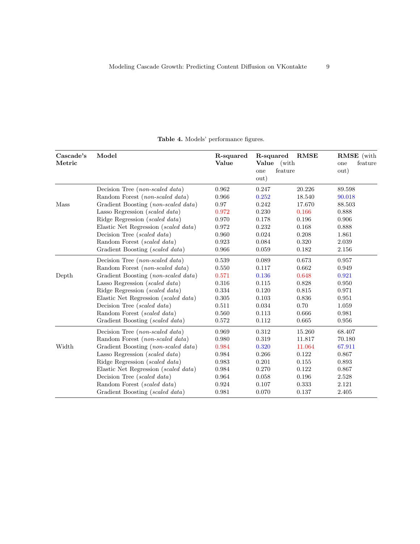| Cascade's<br>Metric | Model                                | R-squared<br>Value | <b>RMSE</b><br>R-squared<br>Value (with<br>feature<br>one<br>out) |        | <b>RMSE</b> (with<br>feature<br>one<br>out) |  |
|---------------------|--------------------------------------|--------------------|-------------------------------------------------------------------|--------|---------------------------------------------|--|
|                     | Decision Tree (non-scaled data)      | 0.962              | 0.247                                                             | 20.226 | 89.598                                      |  |
|                     | Random Forest (non-scaled data)      | 0.966              | 0.252                                                             | 18.540 | 90.018                                      |  |
| Mass                | Gradient Boosting (non-scaled data)  | 0.97               | 0.242                                                             | 17.670 | 88.503                                      |  |
|                     | Lasso Regression (scaled data)       | 0.972              | 0.230                                                             | 0.166  | 0.888                                       |  |
|                     | Ridge Regression (scaled data)       | 0.970              | 0.178                                                             | 0.196  | 0.906                                       |  |
|                     | Elastic Net Regression (scaled data) | 0.972              | 0.232                                                             | 0.168  | 0.888                                       |  |
|                     | Decision Tree (scaled data)          | 0.960              | 0.024                                                             | 0.208  | 1.861                                       |  |
|                     | Random Forest (scaled data)          | 0.923              | 0.084                                                             | 0.320  | 2.039                                       |  |
|                     | Gradient Boosting (scaled data)      | 0.966              | 0.059                                                             | 0.182  | 2.156                                       |  |
|                     | Decision Tree (non-scaled data)      | 0.539              | 0.089                                                             | 0.673  | 0.957                                       |  |
|                     | Random Forest (non-scaled data)      | 0.550              | 0.117                                                             | 0.662  | 0.949                                       |  |
| Depth               | Gradient Boosting (non-scaled data)  | 0.571              | 0.136                                                             | 0.648  | 0.921                                       |  |
|                     | Lasso Regression (scaled data)       | 0.316              | 0.115                                                             | 0.828  | 0.950                                       |  |
|                     | Ridge Regression (scaled data)       | 0.334              | 0.120                                                             | 0.815  | 0.971                                       |  |
|                     | Elastic Net Regression (scaled data) | 0.305              | 0.103                                                             | 0.836  | 0.951                                       |  |
|                     | Decision Tree (scaled data)          | 0.511              | 0.034                                                             | 0.70   | 1.059                                       |  |
|                     | Random Forest (scaled data)          | 0.560              | 0.113                                                             | 0.666  | 0.981                                       |  |
|                     | Gradient Boosting (scaled data)      | 0.572              | 0.112                                                             | 0.665  | 0.956                                       |  |
|                     | Decision Tree (non-scaled data)      | 0.969              | 0.312                                                             | 15.260 | 68.407                                      |  |
|                     | Random Forest (non-scaled data)      | 0.980              | 0.319                                                             | 11.817 | 70.180                                      |  |
| Width               | Gradient Boosting (non-scaled data)  | 0.984              | 0.320                                                             | 11.064 | 67.911                                      |  |
|                     | Lasso Regression (scaled data)       | 0.984              | 0.266                                                             | 0.122  | 0.867                                       |  |
|                     | Ridge Regression (scaled data)       | 0.983              | 0.201                                                             | 0.155  | 0.893                                       |  |
|                     | Elastic Net Regression (scaled data) | 0.984              | 0.270                                                             | 0.122  | 0.867                                       |  |
|                     | Decision Tree (scaled data)          | 0.964              | 0.058                                                             | 0.196  | 2.528                                       |  |
|                     | Random Forest (scaled data)          | 0.924              | 0.107                                                             | 0.333  | 2.121                                       |  |
|                     | Gradient Boosting (scaled data)      | 0.981              | 0.070                                                             | 0.137  | 2.405                                       |  |

<span id="page-8-0"></span>Table 4. Models' performance figures.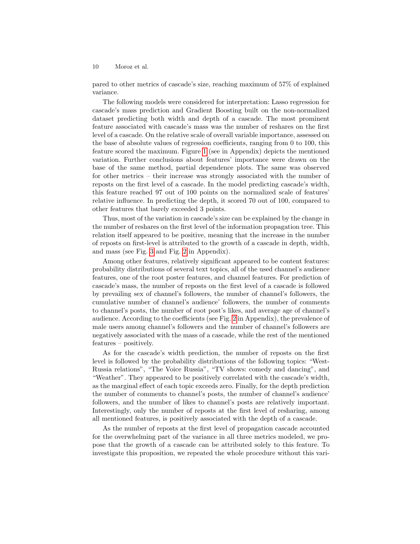pared to other metrics of cascade's size, reaching maximum of 57% of explained variance.

The following models were considered for interpretation: Lasso regression for cascade's mass prediction and Gradient Boosting built on the non-normalized dataset predicting both width and depth of a cascade. The most prominent feature associated with cascade's mass was the number of reshares on the first level of a cascade. On the relative scale of overall variable importance, assessed on the base of absolute values of regression coefficients, ranging from 0 to 100, this feature scored the maximum. Figure [1](#page-14-5) (see in Appendix) depicts the mentioned variation. Further conclusions about features' importance were drawn on the base of the same method, partial dependence plots. The same was observed for other metrics – their increase was strongly associated with the number of reposts on the first level of a cascade. In the model predicting cascade's width, this feature reached 97 out of 100 points on the normalized scale of features' relative influence. In predicting the depth, it scored 70 out of 100, compared to other features that barely exceeded 3 points.

Thus, most of the variation in cascade's size can be explained by the change in the number of reshares on the first level of the information propagation tree. This relation itself appeared to be positive, meaning that the increase in the number of reposts on first-level is attributed to the growth of a cascade in depth, width, and mass (see Fig. [3](#page-15-0) and Fig. [2](#page-15-1) in Appendix).

Among other features, relatively significant appeared to be content features: probability distributions of several text topics, all of the used channel's audience features, one of the root poster features, and channel features. For prediction of cascade's mass, the number of reposts on the first level of a cascade is followed by prevailing sex of channel's followers, the number of channel's followers, the cumulative number of channel's audience' followers, the number of comments to channel's posts, the number of root post's likes, and average age of channel's audience. According to the coefficients (see Fig. [2](#page-15-1) in Appendix), the prevalence of male users among channel's followers and the number of channel's followers are negatively associated with the mass of a cascade, while the rest of the mentioned features – positively.

As for the cascade's width prediction, the number of reposts on the first level is followed by the probability distributions of the following topics: "West-Russia relations", "The Voice Russia", "TV shows: comedy and dancing", and "Weather". They appeared to be positively correlated with the cascade's width, as the marginal effect of each topic exceeds zero. Finally, for the depth prediction the number of comments to channel's posts, the number of channel's audience' followers, and the number of likes to channel's posts are relatively important. Interestingly, only the number of reposts at the first level of resharing, among all mentioned features, is positively associated with the depth of a cascade.

As the number of reposts at the first level of propagation cascade accounted for the overwhelming part of the variance in all three metrics modeled, we propose that the growth of a cascade can be attributed solely to this feature. To investigate this proposition, we repeated the whole procedure without this vari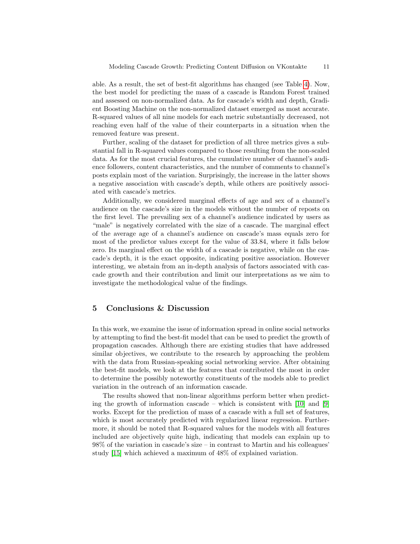able. As a result, the set of best-fit algorithms has changed (see Table [4\)](#page-8-0). Now, the best model for predicting the mass of a cascade is Random Forest trained and assessed on non-normalized data. As for cascade's width and depth, Gradient Boosting Machine on the non-normalized dataset emerged as most accurate. R-squared values of all nine models for each metric substantially decreased, not reaching even half of the value of their counterparts in a situation when the removed feature was present.

Further, scaling of the dataset for prediction of all three metrics gives a substantial fall in R-squared values compared to those resulting from the non-scaled data. As for the most crucial features, the cumulative number of channel's audience followers, content characteristics, and the number of comments to channel's posts explain most of the variation. Surprisingly, the increase in the latter shows a negative association with cascade's depth, while others are positively associated with cascade's metrics.

Additionally, we considered marginal effects of age and sex of a channel's audience on the cascade's size in the models without the number of reposts on the first level. The prevailing sex of a channel's audience indicated by users as "male" is negatively correlated with the size of a cascade. The marginal effect of the average age of a channel's audience on cascade's mass equals zero for most of the predictor values except for the value of 33.84, where it falls below zero. Its marginal effect on the width of a cascade is negative, while on the cascade's depth, it is the exact opposite, indicating positive association. However interesting, we abstain from an in-depth analysis of factors associated with cascade growth and their contribution and limit our interpretations as we aim to investigate the methodological value of the findings.

# 5 Conclusions & Discussion

In this work, we examine the issue of information spread in online social networks by attempting to find the best-fit model that can be used to predict the growth of propagation cascades. Although there are existing studies that have addressed similar objectives, we contribute to the research by approaching the problem with the data from Russian-speaking social networking service. After obtaining the best-fit models, we look at the features that contributed the most in order to determine the possibly noteworthy constituents of the models able to predict variation in the outreach of an information cascade.

The results showed that non-linear algorithms perform better when predicting the growth of information cascade – which is consistent with [\[10\]](#page-13-7) and [\[9\]](#page-13-6) works. Except for the prediction of mass of a cascade with a full set of features, which is most accurately predicted with regularized linear regression. Furthermore, it should be noted that R-squared values for the models with all features included are objectively quite high, indicating that models can explain up to 98% of the variation in cascade's size – in contrast to Martin and his colleagues' study [\[15\]](#page-13-12) which achieved a maximum of 48% of explained variation.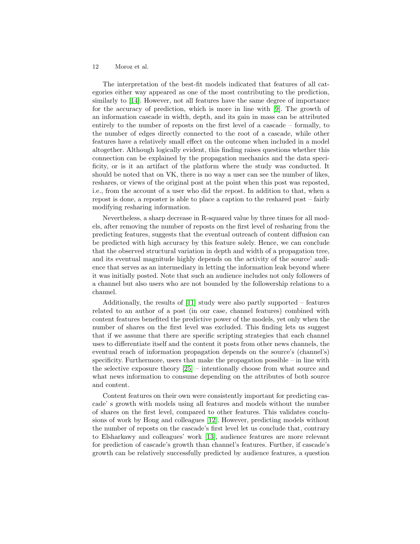The interpretation of the best-fit models indicated that features of all categories either way appeared as one of the most contributing to the prediction, similarly to [\[14\]](#page-13-11). However, not all features have the same degree of importance for the accuracy of prediction, which is more in line with [\[9\]](#page-13-6). The growth of an information cascade in width, depth, and its gain in mass can be attributed entirely to the number of reposts on the first level of a cascade – formally, to the number of edges directly connected to the root of a cascade, while other features have a relatively small effect on the outcome when included in a model altogether. Although logically evident, this finding raises questions whether this connection can be explained by the propagation mechanics and the data specificity, or is it an artifact of the platform where the study was conducted. It should be noted that on VK, there is no way a user can see the number of likes, reshares, or views of the original post at the point when this post was reposted, i.e., from the account of a user who did the repost. In addition to that, when a repost is done, a reposter is able to place a caption to the reshared post – fairly modifying resharing information.

Nevertheless, a sharp decrease in R-squared value by three times for all models, after removing the number of reposts on the first level of resharing from the predicting features, suggests that the eventual outreach of content diffusion can be predicted with high accuracy by this feature solely. Hence, we can conclude that the observed structural variation in depth and width of a propagation tree, and its eventual magnitude highly depends on the activity of the source' audience that serves as an intermediary in letting the information leak beyond where it was initially posted. Note that such an audience includes not only followers of a channel but also users who are not bounded by the followership relations to a channel.

Additionally, the results of  $[11]$  study were also partly supported – features related to an author of a post (in our case, channel features) combined with content features benefited the predictive power of the models, yet only when the number of shares on the first level was excluded. This finding lets us suggest that if we assume that there are specific scripting strategies that each channel uses to differentiate itself and the content it posts from other news channels, the eventual reach of information propagation depends on the source's (channel's) specificity. Furthermore, users that make the propagation possible – in line with the selective exposure theory [\[25\]](#page-14-6) – intentionally choose from what source and what news information to consume depending on the attributes of both source and content.

Content features on their own were consistently important for predicting cascade' s growth with models using all features and models without the number of shares on the first level, compared to other features. This validates conclusions of work by Hong and colleagues [\[12\]](#page-13-9). However, predicting models without the number of reposts on the cascade's first level let us conclude that, contrary to Elsharkawy and colleagues' work [\[13\]](#page-13-10), audience features are more relevant for prediction of cascade's growth than channel's features. Further, if cascade's growth can be relatively successfully predicted by audience features, a question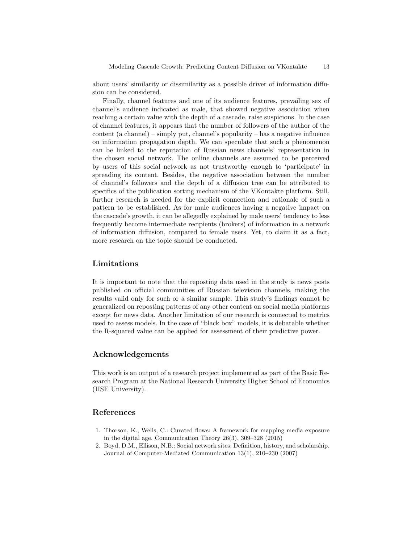about users' similarity or dissimilarity as a possible driver of information diffusion can be considered.

Finally, channel features and one of its audience features, prevailing sex of channel's audience indicated as male, that showed negative association when reaching a certain value with the depth of a cascade, raise suspicions. In the case of channel features, it appears that the number of followers of the author of the content (a channel) – simply put, channel's popularity – has a negative influence on information propagation depth. We can speculate that such a phenomenon can be linked to the reputation of Russian news channels' representation in the chosen social network. The online channels are assumed to be perceived by users of this social network as not trustworthy enough to 'participate' in spreading its content. Besides, the negative association between the number of channel's followers and the depth of a diffusion tree can be attributed to specifics of the publication sorting mechanism of the VKontakte platform. Still, further research is needed for the explicit connection and rationale of such a pattern to be established. As for male audiences having a negative impact on the cascade's growth, it can be allegedly explained by male users' tendency to less frequently become intermediate recipients (brokers) of information in a network of information diffusion, compared to female users. Yet, to claim it as a fact, more research on the topic should be conducted.

# Limitations

It is important to note that the reposting data used in the study is news posts published on official communities of Russian television channels, making the results valid only for such or a similar sample. This study's findings cannot be generalized on reposting patterns of any other content on social media platforms except for news data. Another limitation of our research is connected to metrics used to assess models. In the case of "black box" models, it is debatable whether the R-squared value can be applied for assessment of their predictive power.

# Acknowledgements

This work is an output of a research project implemented as part of the Basic Research Program at the National Research University Higher School of Economics (HSE University).

### References

- <span id="page-12-0"></span>1. Thorson, K., Wells, C.: Curated flows: A framework for mapping media exposure in the digital age. Communication Theory 26(3), 309–328 (2015)
- <span id="page-12-1"></span>2. Boyd, D.M., Ellison, N.B.: Social network sites: Definition, history, and scholarship. Journal of Computer-Mediated Communication 13(1), 210–230 (2007)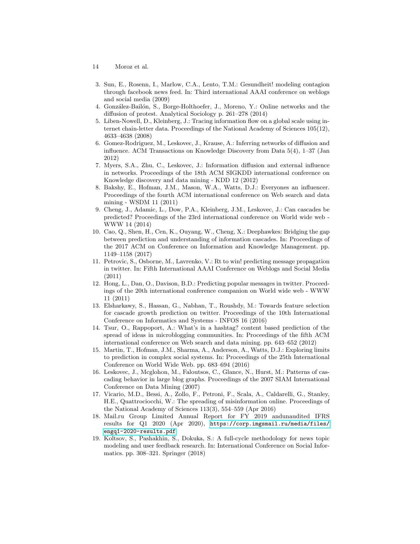- 14 Moroz et al.
- <span id="page-13-0"></span>3. Sun, E., Rosenn, I., Marlow, C.A., Lento, T.M.: Gesundheit! modeling contagion through facebook news feed. In: Third international AAAI conference on weblogs and social media (2009)
- <span id="page-13-1"></span>4. González-Bailón, S., Borge-Holthoefer, J., Moreno, Y.: Online networks and the diffusion of protest. Analytical Sociology p. 261–278 (2014)
- <span id="page-13-2"></span>5. Liben-Nowell, D., Kleinberg, J.: Tracing information flow on a global scale using internet chain-letter data. Proceedings of the National Academy of Sciences 105(12), 4633–4638 (2008)
- <span id="page-13-3"></span>6. Gomez-Rodriguez, M., Leskovec, J., Krause, A.: Inferring networks of diffusion and influence. ACM Transactions on Knowledge Discovery from Data 5(4), 1–37 (Jan 2012)
- <span id="page-13-4"></span>7. Myers, S.A., Zhu, C., Leskovec, J.: Information diffusion and external influence in networks. Proceedings of the 18th ACM SIGKDD international conference on Knowledge discovery and data mining - KDD 12 (2012)
- <span id="page-13-5"></span>8. Bakshy, E., Hofman, J.M., Mason, W.A., Watts, D.J.: Everyones an influencer. Proceedings of the fourth ACM international conference on Web search and data mining - WSDM 11 (2011)
- <span id="page-13-6"></span>9. Cheng, J., Adamic, L., Dow, P.A., Kleinberg, J.M., Leskovec, J.: Can cascades be predicted? Proceedings of the 23rd international conference on World wide web - WWW 14 (2014)
- <span id="page-13-7"></span>10. Cao, Q., Shen, H., Cen, K., Ouyang, W., Cheng, X.: Deephawkes: Bridging the gap between prediction and understanding of information cascades. In: Proceedings of the 2017 ACM on Conference on Information and Knowledge Management. pp. 1149–1158 (2017)
- <span id="page-13-8"></span>11. Petrovic, S., Osborne, M., Lavrenko, V.: Rt to win! predicting message propagation in twitter. In: Fifth International AAAI Conference on Weblogs and Social Media (2011)
- <span id="page-13-9"></span>12. Hong, L., Dan, O., Davison, B.D.: Predicting popular messages in twitter. Proceedings of the 20th international conference companion on World wide web - WWW 11 (2011)
- <span id="page-13-10"></span>13. Elsharkawy, S., Hassan, G., Nabhan, T., Roushdy, M.: Towards feature selection for cascade growth prediction on twitter. Proceedings of the 10th International Conference on Informatics and Systems - INFOS 16 (2016)
- <span id="page-13-11"></span>14. Tsur, O., Rappoport, A.: What's in a hashtag? content based prediction of the spread of ideas in microblogging communities. In: Proceedings of the fifth ACM international conference on Web search and data mining. pp. 643–652 (2012)
- <span id="page-13-12"></span>15. Martin, T., Hofman, J.M., Sharma, A., Anderson, A., Watts, D.J.: Exploring limits to prediction in complex social systems. In: Proceedings of the 25th International Conference on World Wide Web. pp. 683–694 (2016)
- <span id="page-13-13"></span>16. Leskovec, J., Mcglohon, M., Faloutsos, C., Glance, N., Hurst, M.: Patterns of cascading behavior in large blog graphs. Proceedings of the 2007 SIAM International Conference on Data Mining (2007)
- <span id="page-13-14"></span>17. Vicario, M.D., Bessi, A., Zollo, F., Petroni, F., Scala, A., Caldarelli, G., Stanley, H.E., Quattrociocchi, W.: The spreading of misinformation online. Proceedings of the National Academy of Sciences 113(3), 554–559 (Apr 2016)
- <span id="page-13-15"></span>18. Mail.ru Group Limited Annual Report for FY 2019 andunaudited IFRS results for Q1 2020 (Apr 2020), [https://corp.imgsmail.ru/media/files/](https://corp.imgsmail.ru/media/files/engq1-2020-results.pdf) [engq1-2020-results.pdf](https://corp.imgsmail.ru/media/files/engq1-2020-results.pdf)
- <span id="page-13-16"></span>19. Koltsov, S., Pashakhin, S., Dokuka, S.: A full-cycle methodology for news topic modeling and user feedback research. In: International Conference on Social Informatics. pp. 308–321. Springer (2018)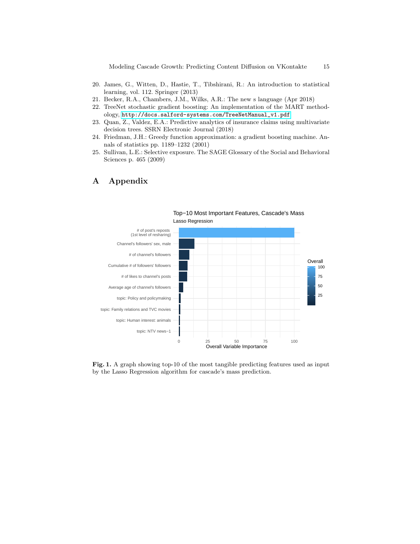Modeling Cascade Growth: Predicting Content Diffusion on VKontakte 15

- <span id="page-14-0"></span>20. James, G., Witten, D., Hastie, T., Tibshirani, R.: An introduction to statistical learning, vol. 112. Springer (2013)
- <span id="page-14-1"></span>21. Becker, R.A., Chambers, J.M., Wilks, A.R.: The new s language (Apr 2018)
- <span id="page-14-2"></span>22. TreeNet stochastic gradient boosting: An implementation of the MART methodology, [http://docs.salford-systems.com/TreeNetManual\\_v1.pdf](http://docs.salford-systems.com/TreeNetManual_v1.pdf)
- <span id="page-14-3"></span>23. Quan, Z., Valdez, E.A.: Predictive analytics of insurance claims using multivariate decision trees. SSRN Electronic Journal (2018)
- <span id="page-14-4"></span>24. Friedman, J.H.: Greedy function approximation: a gradient boosting machine. Annals of statistics pp. 1189–1232 (2001)
- <span id="page-14-6"></span>25. Sullivan, L.E.: Selective exposure. The SAGE Glossary of the Social and Behavioral Sciences p. 465 (2009)



# A Appendix

<span id="page-14-5"></span>Fig. 1. A graph showing top-10 of the most tangible predicting features used as input by the Lasso Regression algorithm for cascade's mass prediction.